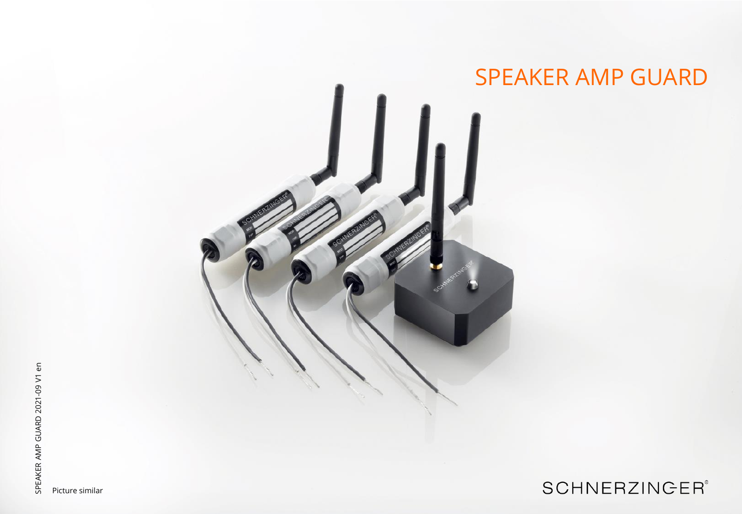

# **SCHNERZINGER®**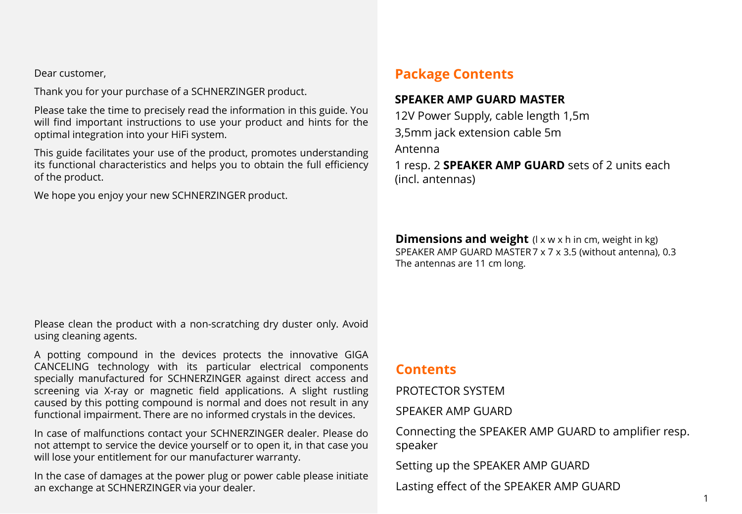Dear customer,

Thank you for your purchase of a SCHNERZINGER product.

Please take the time to precisely read the information in this guide. You will find important instructions to use your product and hints for the optimal integration into your HiFi system.

This guide facilitates your use of the product, promotes understanding its functional characteristics and helps you to obtain the full efficiency of the product.

We hope you enjoy your new SCHNERZINGER product.

### **Package Contents**

### **SPEAKER AMP GUARD MASTER**

12V Power Supply, cable length 1,5m 3,5mm jack extension cable 5m

Antenna

1 resp. 2 **SPEAKER AMP GUARD** sets of 2 units each (incl. antennas)

**Dimensions and weight** (I x w x h in cm, weight in kg) SPEAKER AMP GUARD MASTER7 x 7 x 3.5 (without antenna), 0.3 The antennas are 11 cm long.

Please clean the product with a non-scratching dry duster only. Avoid using cleaning agents.

A potting compound in the devices protects the innovative GIGA CANCELING technology with its particular electrical components specially manufactured for SCHNERZINGER against direct access and screening via X-ray or magnetic field applications. A slight rustling caused by this potting compound is normal and does not result in any functional impairment. There are no informed crystals in the devices.

In case of malfunctions contact your SCHNERZINGER dealer. Please do not attempt to service the device yourself or to open it, in that case you will lose your entitlement for our manufacturer warranty.

In the case of damages at the power plug or power cable please initiate an exchange at SCHNERZINGER via your dealer.

### **Contents**

PROTECTOR SYSTEM

SPEAKER AMP GUARD

Connecting the SPEAKER AMP GUARD to amplifier resp. speaker

Setting up the SPEAKER AMP GUARD

Lasting effect of the SPEAKER AMP GUARD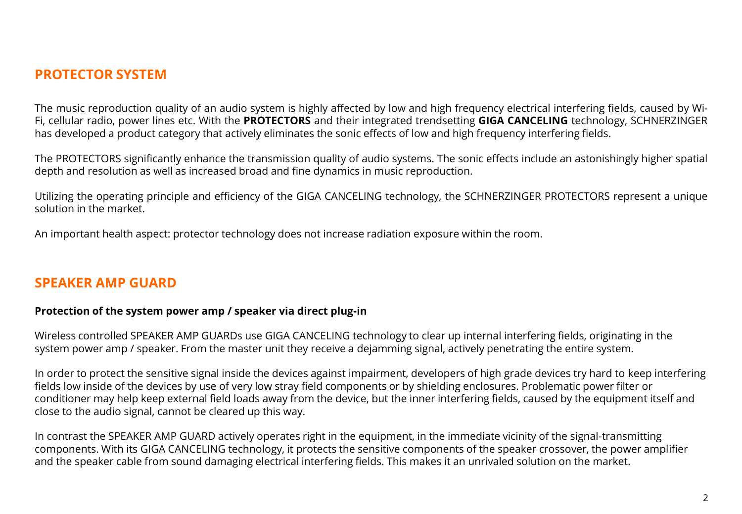### **PROTECTOR SYSTEM**

The music reproduction quality of an audio system is highly affected by low and high frequency electrical interfering fields, caused by Wi-Fi, cellular radio, power lines etc. With the **PROTECTORS** and their integrated trendsetting **GIGA CANCELING** technology, SCHNERZINGER has developed a product category that actively eliminates the sonic effects of low and high frequency interfering fields.

The PROTECTORS significantly enhance the transmission quality of audio systems. The sonic effects include an astonishingly higher spatial depth and resolution as well as increased broad and fine dynamics in music reproduction.

Utilizing the operating principle and efficiency of the GIGA CANCELING technology, the SCHNERZINGER PROTECTORS represent a unique solution in the market.

An important health aspect: protector technology does not increase radiation exposure within the room.

### **SPEAKER AMP GUARD**

#### **Protection of the system power amp / speaker via direct plug-in**

Wireless controlled SPEAKER AMP GUARDs use GIGA CANCELING technology to clear up internal interfering fields, originating in the system power amp / speaker. From the master unit they receive a dejamming signal, actively penetrating the entire system.

In order to protect the sensitive signal inside the devices against impairment, developers of high grade devices try hard to keep interfering fields low inside of the devices by use of very low stray field components or by shielding enclosures. Problematic power filter or conditioner may help keep external field loads away from the device, but the inner interfering fields, caused by the equipment itself and close to the audio signal, cannot be cleared up this way.

In contrast the SPEAKER AMP GUARD actively operates right in the equipment, in the immediate vicinity of the signal-transmitting components. With its GIGA CANCELING technology, it protects the sensitive components of the speaker crossover, the power amplifier and the speaker cable from sound damaging electrical interfering fields. This makes it an unrivaled solution on the market.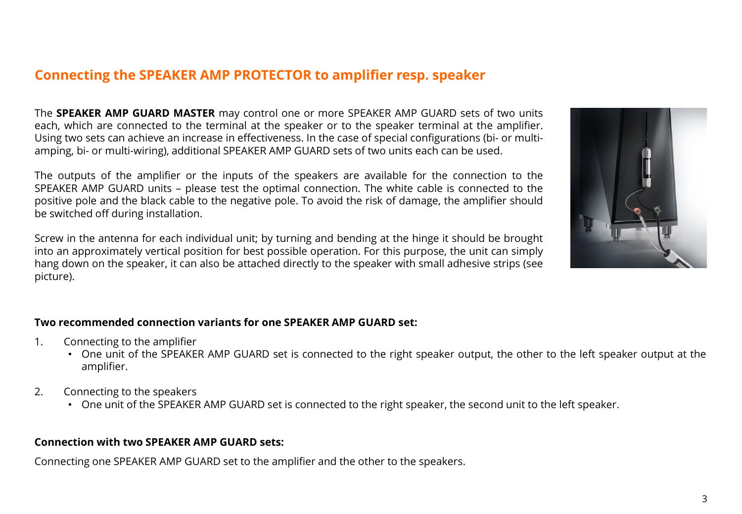## **Connecting the SPEAKER AMP PROTECTOR to amplifier resp. speaker**

The **SPEAKER AMP GUARD MASTER** may control one or more SPEAKER AMP GUARD sets of two units each, which are connected to the terminal at the speaker or to the speaker terminal at the amplifier. Using two sets can achieve an increase in effectiveness. In the case of special configurations (bi- or multiamping, bi- or multi-wiring), additional SPEAKER AMP GUARD sets of two units each can be used.

The outputs of the amplifier or the inputs of the speakers are available for the connection to the SPEAKER AMP GUARD units – please test the optimal connection. The white cable is connected to the positive pole and the black cable to the negative pole. To avoid the risk of damage, the amplifier should be switched off during installation.

Screw in the antenna for each individual unit; by turning and bending at the hinge it should be brought into an approximately vertical position for best possible operation. For this purpose, the unit can simply hang down on the speaker, it can also be attached directly to the speaker with small adhesive strips (see picture).



#### **Two recommended connection variants for one SPEAKER AMP GUARD set:**

- 1. Connecting to the amplifier
	- One unit of the SPEAKER AMP GUARD set is connected to the right speaker output, the other to the left speaker output at the amplifier.
- 2. Connecting to the speakers
	- One unit of the SPEAKER AMP GUARD set is connected to the right speaker, the second unit to the left speaker.

#### **Connection with two SPEAKER AMP GUARD sets:**

Connecting one SPEAKER AMP GUARD set to the amplifier and the other to the speakers.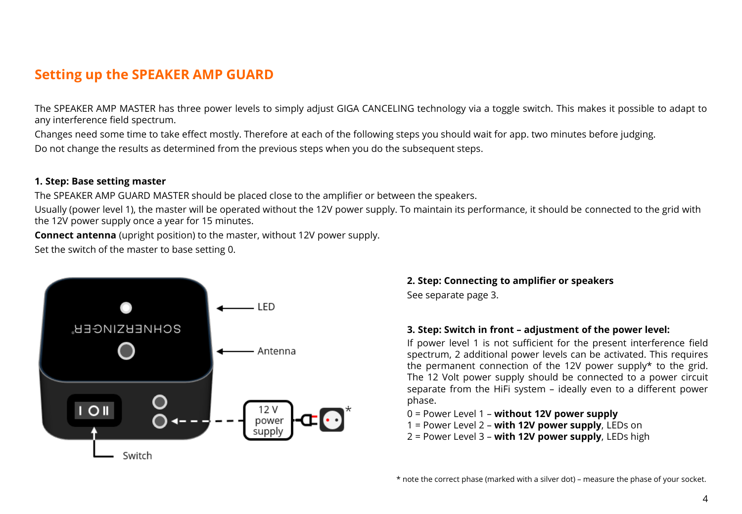## **Setting up the SPEAKER AMP GUARD**

The SPEAKER AMP MASTER has three power levels to simply adjust GIGA CANCELING technology via a toggle switch. This makes it possible to adapt to any interference field spectrum.

Changes need some time to take effect mostly. Therefore at each of the following steps you should wait for app. two minutes before judging. Do not change the results as determined from the previous steps when you do the subsequent steps.

#### **1. Step: Base setting master**

The SPEAKER AMP GUARD MASTER should be placed close to the amplifier or between the speakers.

Usually (power level 1), the master will be operated without the 12V power supply. To maintain its performance, it should be connected to the grid with the 12V power supply once a year for 15 minutes.

**Connect antenna** (upright position) to the master, without 12V power supply.

Set the switch of the master to base setting 0.



### **2. Step: Connecting to amplifier or speakers**

See separate page 3.

#### **3. Step: Switch in front – adjustment of the power level:**

If power level 1 is not sufficient for the present interference field spectrum, 2 additional power levels can be activated. This requires the permanent connection of the 12V power supply\* to the grid. The 12 Volt power supply should be connected to a power circuit separate from the HiFi system – ideally even to a different power phase.

- 0 = Power Level 1 **without 12V power supply**
- 1 = Power Level 2 **with 12V power supply**, LEDs on
- 2 = Power Level 3 **with 12V power supply**, LEDs high